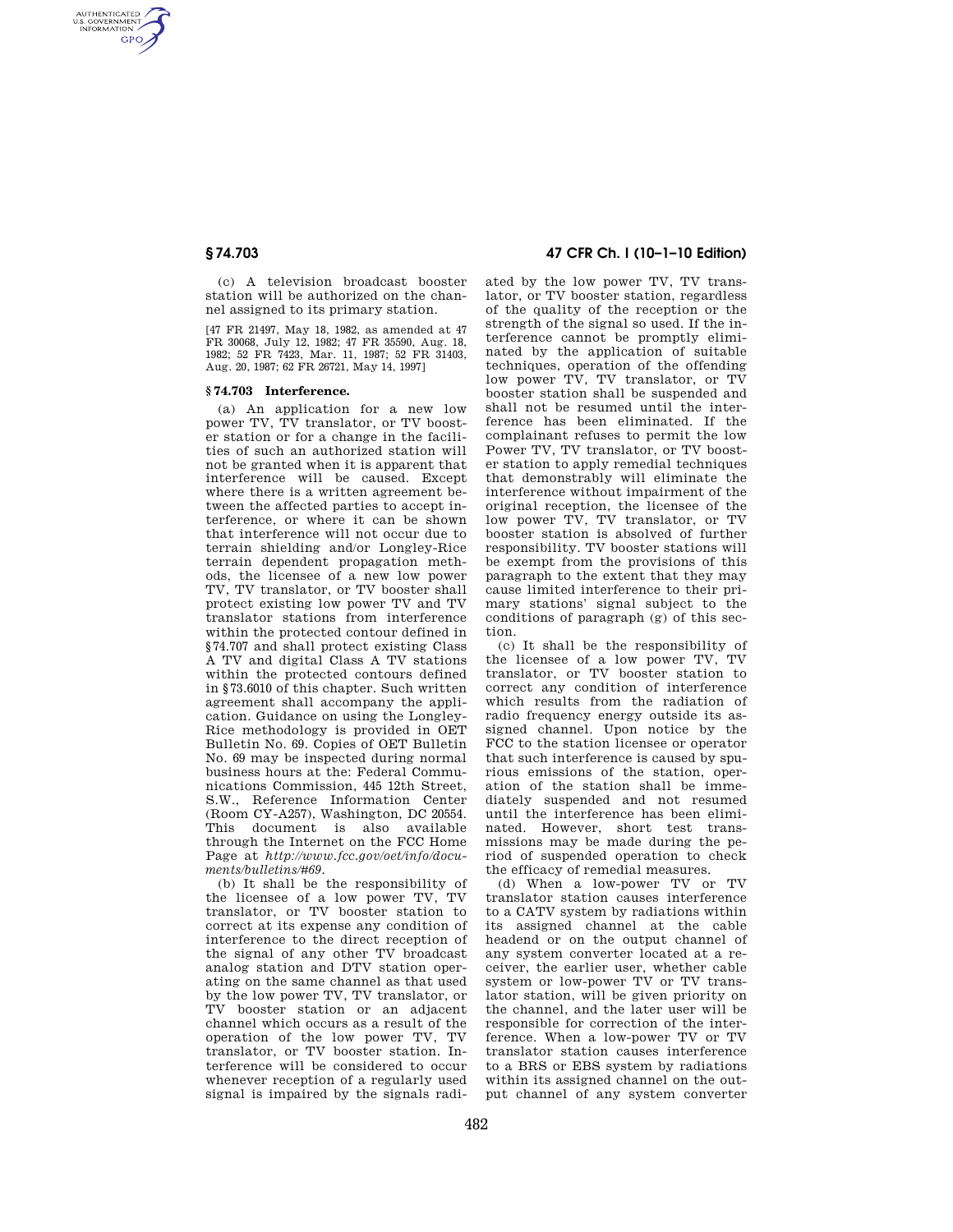AUTHENTICATED<br>U.S. GOVERNMENT<br>INFORMATION **GPO** 

> (c) A television broadcast booster station will be authorized on the channel assigned to its primary station.

> [47 FR 21497, May 18, 1982, as amended at 47 FR 30068, July 12, 1982; 47 FR 35590, Aug. 18, 1982; 52 FR 7423, Mar. 11, 1987; 52 FR 31403, Aug. 20, 1987; 62 FR 26721, May 14, 1997]

## **§ 74.703 Interference.**

(a) An application for a new low power TV, TV translator, or TV booster station or for a change in the facilities of such an authorized station will not be granted when it is apparent that interference will be caused. Except where there is a written agreement between the affected parties to accept interference, or where it can be shown that interference will not occur due to terrain shielding and/or Longley-Rice terrain dependent propagation methods, the licensee of a new low power TV, TV translator, or TV booster shall protect existing low power TV and TV translator stations from interference within the protected contour defined in §74.707 and shall protect existing Class A TV and digital Class A TV stations within the protected contours defined in §73.6010 of this chapter. Such written agreement shall accompany the application. Guidance on using the Longley-Rice methodology is provided in OET Bulletin No. 69. Copies of OET Bulletin No. 69 may be inspected during normal business hours at the: Federal Communications Commission, 445 12th Street, S.W., Reference Information Center (Room CY-A257), Washington, DC 20554. This document is also available through the Internet on the FCC Home Page at *http://www.fcc.gov/oet/info/documents/bulletins/#69.* 

(b) It shall be the responsibility of the licensee of a low power TV, TV translator, or TV booster station to correct at its expense any condition of interference to the direct reception of the signal of any other TV broadcast analog station and DTV station operating on the same channel as that used by the low power TV, TV translator, or TV booster station or an adjacent channel which occurs as a result of the operation of the low power TV, TV translator, or TV booster station. Interference will be considered to occur whenever reception of a regularly used signal is impaired by the signals radi-

# **§ 74.703 47 CFR Ch. I (10–1–10 Edition)**

ated by the low power TV, TV translator, or TV booster station, regardless of the quality of the reception or the strength of the signal so used. If the interference cannot be promptly eliminated by the application of suitable techniques, operation of the offending low power TV, TV translator, or TV booster station shall be suspended and shall not be resumed until the interference has been eliminated. If the complainant refuses to permit the low Power TV, TV translator, or TV booster station to apply remedial techniques that demonstrably will eliminate the interference without impairment of the original reception, the licensee of the low power TV, TV translator, or TV booster station is absolved of further responsibility. TV booster stations will be exempt from the provisions of this paragraph to the extent that they may cause limited interference to their primary stations' signal subject to the conditions of paragraph (g) of this section.

(c) It shall be the responsibility of the licensee of a low power TV, TV translator, or TV booster station to correct any condition of interference which results from the radiation of radio frequency energy outside its assigned channel. Upon notice by the FCC to the station licensee or operator that such interference is caused by spurious emissions of the station, operation of the station shall be immediately suspended and not resumed until the interference has been eliminated. However, short test transmissions may be made during the period of suspended operation to check the efficacy of remedial measures.

(d) When a low-power TV or TV translator station causes interference to a CATV system by radiations within its assigned channel at the cable headend or on the output channel of any system converter located at a receiver, the earlier user, whether cable system or low-power TV or TV translator station, will be given priority on the channel, and the later user will be responsible for correction of the interference. When a low-power TV or TV translator station causes interference to a BRS or EBS system by radiations within its assigned channel on the output channel of any system converter